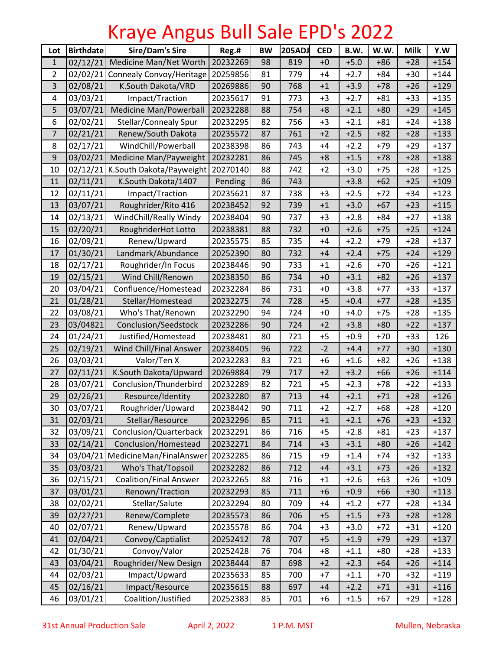## Kraye Angus Bull Sale EPD's 2022

| Lot            | <b>Birthdate</b> | <b>Sire/Dam's Sire</b>           | Reg.#    | <b>BW</b> | 205ADJ | <b>CED</b> | B.W.   | W.W.  | <b>Milk</b> | Y.W    |
|----------------|------------------|----------------------------------|----------|-----------|--------|------------|--------|-------|-------------|--------|
| $\mathbf{1}$   | 02/12/21         | Medicine Man/Net Worth           | 20232269 | 98        | 819    | $+0$       | $+5.0$ | $+86$ | $+28$       | $+154$ |
| $\overline{2}$ | 02/02/21         | Connealy Convoy/Heritage         | 20259856 | 81        | 779    | $+4$       | $+2.7$ | $+84$ | $+30$       | $+144$ |
| 3              | 02/08/21         | K.South Dakota/VRD               | 20269886 | 90        | 768    | $+1$       | $+3.9$ | $+78$ | $+26$       | $+129$ |
| 4              | 03/03/21         | Impact/Traction                  | 20235617 | 91        | 773    | $+3$       | $+2.7$ | $+81$ | $+33$       | $+135$ |
| 5              | 03/07/21         | Medicine Man/Powerball           | 20232288 | 88        | 754    | $+8$       | $+2.1$ | $+80$ | $+29$       | $+145$ |
| 6              | 02/02/21         | Stellar/Connealy Spur            | 20232295 | 82        | 756    | $+3$       | $+2.1$ | $+81$ | $+24$       | $+138$ |
| $\overline{7}$ | 02/21/21         | Renew/South Dakota               | 20235572 | 87        | 761    | $+2$       | $+2.5$ | $+82$ | $+28$       | $+133$ |
| 8              | 02/17/21         | WindChill/Powerball              | 20238398 | 86        | 743    | $+4$       | $+2.2$ | $+79$ | $+29$       | $+137$ |
| 9              | 03/02/21         | Medicine Man/Payweight           | 20232281 | 86        | 745    | $+8$       | $+1.5$ | $+78$ | $+28$       | $+138$ |
| 10             | 02/12/21         | K.South Dakota/Payweight         | 20270140 | 88        | 742    | $+2$       | $+3.0$ | $+75$ | $+28$       | $+125$ |
| 11             | 02/11/21         | K.South Dakota/1407              | Pending  | 86        | 743    |            | $+3.8$ | $+62$ | $+25$       | $+109$ |
| 12             | 02/11/21         | Impact/Traction                  | 20235621 | 87        | 738    | $+3$       | $+2.5$ | $+72$ | $+34$       | $+123$ |
| 13             | 03/07/21         | Roughrider/Rito 416              | 20238452 | 92        | 739    | $+1$       | $+3.0$ | $+67$ | $+23$       | $+115$ |
| 14             | 02/13/21         | WindChill/Really Windy           | 20238404 | 90        | 737    | $+3$       | $+2.8$ | $+84$ | $+27$       | $+138$ |
| 15             | 02/20/21         | RoughriderHot Lotto              | 20238381 | 88        | 732    | $+0$       | $+2.6$ | $+75$ | $+25$       | $+124$ |
| 16             | 02/09/21         | Renew/Upward                     | 20235575 | 85        | 735    | $+4$       | $+2.2$ | $+79$ | +28         | $+137$ |
| 17             | 01/30/21         | Landmark/Abundance               | 20252390 | 80        | 732    | $+4$       | $+2.4$ | $+75$ | $+24$       | $+129$ |
| 18             | 02/17/21         | Roughrider/In Focus              | 20238446 | 90        | 733    | $+1$       | $+2.6$ | $+70$ | $+26$       | $+121$ |
| 19             | 02/15/21         | Wind Chill/Renown                | 20238350 | 86        | 734    | $+0$       | $+3.1$ | $+82$ | $+26$       | $+137$ |
| 20             | 03/04/21         | Confluence/Homestead             | 20232284 | 86        | 731    | $+0$       | $+3.8$ | $+77$ | $+33$       | $+137$ |
| 21             | 01/28/21         | Stellar/Homestead                | 20232275 | 74        | 728    | $+5$       | $+0.4$ | $+77$ | $+28$       | $+135$ |
| 22             | 03/08/21         | Who's That/Renown                | 20232290 | 94        | 724    | $+0$       | $+4.0$ | $+75$ | $+28$       | $+135$ |
| 23             | 03/04821         | Conclusion/Seedstock             | 20232286 | 90        | 724    | $+2$       | $+3.8$ | $+80$ | $+22$       | $+137$ |
| 24             | 01/24/21         | Justified/Homestead              | 20238481 | 80        | 721    | $+5$       | $+0.9$ | $+70$ | $+33$       | 126    |
| 25             | 02/19/21         | Wind Chill/Final Answer          | 20238405 | 96        | 722    | $-2$       | $+4.4$ | $+77$ | $+30$       | $+130$ |
| 26             | 03/03/21         | Valor/Ten X                      | 20232283 | 83        | 721    | $+6$       | $+1.6$ | $+82$ | $+26$       | $+138$ |
| 27             | 02/11/21         | K.South Dakota/Upward            | 20269884 | 79        | 717    | $+2$       | $+3.2$ | $+66$ | $+26$       | $+114$ |
| 28             | 03/07/21         | Conclusion/Thunderbird           | 20232289 | 82        | 721    | $+5$       | $+2.3$ | $+78$ | $+22$       | $+133$ |
| 29             | 02/26/21         | Resource/Identity                | 20232280 | 87        | 713    | $+4$       | $+2.1$ | $+71$ | $+28$       | $+126$ |
| 30             | 03/07/21         | Roughrider/Upward                | 20238442 | 90        | 711    | $+2$       | $+2.7$ | $+68$ | $+28$       | $+120$ |
| 31             | 02/03/21         | Stellar/Resource                 | 20232296 | 85        | 711    | $+1$       | $+2.1$ | $+76$ | $+23$       | $+132$ |
| 32             | 03/09/21         | Conclusion/Quarterback           | 20232291 | 86        | 716    | $+5$       | $+2.8$ | $+81$ | $+23$       | $+137$ |
| 33             | 02/14/21         | Conclusion/Homestead             | 20232271 | 84        | 714    | $+3$       | $+3.1$ | $+80$ | $+26$       | $+142$ |
| 34             |                  | 03/04/21 MedicineMan/FinalAnswer | 20232285 | 86        | 715    | $+9$       | $+1.4$ | $+74$ | $+32$       | $+133$ |
| 35             | 03/03/21         | Who's That/Topsoil               | 20232282 | 86        | 712    | $+4$       | $+3.1$ | $+73$ | $+26$       | $+132$ |
| 36             | 02/15/21         | <b>Coalition/Final Answer</b>    | 20232265 | 88        | 716    | $+1$       | $+2.6$ | $+63$ | $+26$       | $+109$ |
| 37             | 03/01/21         | Renown/Traction                  | 20232293 | 85        | 711    | $+6$       | $+0.9$ | $+66$ | $+30$       | $+113$ |
| 38             | 02/02/21         | Stellar/Salute                   | 20232294 | 80        | 709    | $+4$       | $+1.2$ | $+77$ | $+28$       | $+134$ |
| 39             | 02/27/21         | Renew/Complete                   | 20235573 | 86        | 706    | $+5$       | $+1.5$ | $+73$ | $+28$       | $+128$ |
| 40             | 02/07/21         | Renew/Upward                     | 20235578 | 86        | 704    | $+3$       | $+3.0$ | $+72$ | $+31$       | $+120$ |
| 41             | 02/04/21         | Convoy/Captialist                | 20252412 | 78        | 707    | $+5$       | $+1.9$ | $+79$ | $+29$       | $+137$ |
| 42             | 01/30/21         | Convoy/Valor                     | 20252428 | 76        | 704    | $+8$       | $+1.1$ | $+80$ | $+28$       | $+133$ |
| 43             | 03/04/21         | Roughrider/New Design            | 20238444 | 87        | 698    | $+2$       | $+2.3$ | $+64$ | $+26$       | $+114$ |
| 44             | 02/03/21         | Impact/Upward                    | 20235633 | 85        | 700    | $+7$       | $+1.1$ | $+70$ | $+32$       | $+119$ |
| 45             | 02/16/21         | Impact/Resource                  | 20235615 | 88        | 697    | $+4$       | $+2.2$ | $+71$ | $+31$       | $+116$ |
| 46             | 03/01/21         | Coalition/Justified              | 20252383 | 85        | 701    | $+6$       | $+1.5$ | $+67$ | $+29$       | $+128$ |

31st Annual Production Sale April 2, 2022 1 P.M. MST Mullen, Nebraska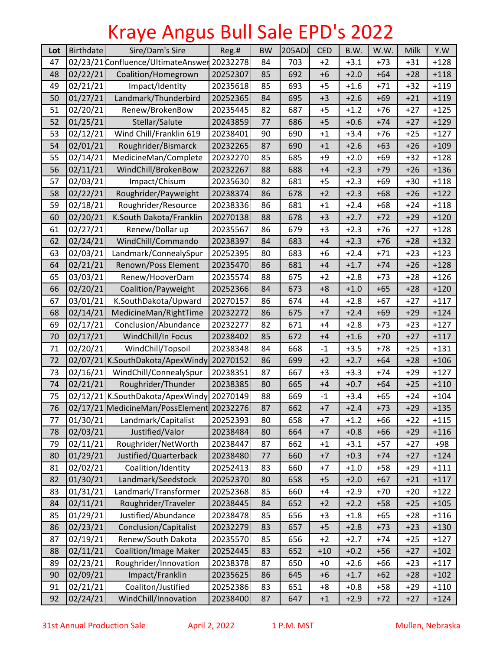## Kraye Angus Bull Sale EPD's 2022

| Lot | <b>Birthdate</b> | Sire/Dam's Sire                           | Reg.#    | <b>BW</b> | 205ADJ | <b>CED</b>  | B.W.   | W.W.  | Milk  | Y.W    |
|-----|------------------|-------------------------------------------|----------|-----------|--------|-------------|--------|-------|-------|--------|
| 47  |                  | 02/23/21 Confluence/UltimateAnswer        | 20232278 | 84        | 703    | $+2$        | $+3.1$ | $+73$ | $+31$ | $+128$ |
| 48  | 02/22/21         | Coalition/Homegrown                       | 20252307 | 85        | 692    | $+6$        | $+2.0$ | $+64$ | $+28$ | $+118$ |
| 49  | 02/21/21         | Impact/Identity                           | 20235618 | 85        | 693    | $+5$        | $+1.6$ | $+71$ | $+32$ | $+119$ |
| 50  | 01/27/21         | Landmark/Thunderbird                      | 20252365 | 84        | 695    | $+3$        | $+2.6$ | $+69$ | $+21$ | $+119$ |
| 51  | 02/20/21         | Renew/BrokenBow                           | 20235445 | 82        | 687    | $+5$        | $+1.2$ | $+76$ | $+27$ | $+125$ |
| 52  | 01/25/21         | Stellar/Salute                            | 20243859 | 77        | 686    | $+5$        | $+0.6$ | $+74$ | $+27$ | $+129$ |
| 53  | 02/12/21         | Wind Chill/Franklin 619                   | 20238401 | 90        | 690    | $+1$        | $+3.4$ | $+76$ | $+25$ | $+127$ |
| 54  | 02/01/21         | Roughrider/Bismarck                       | 20232265 | 87        | 690    | $+1$        | $+2.6$ | $+63$ | $+26$ | $+109$ |
| 55  | 02/14/21         | MedicineMan/Complete                      | 20232270 | 85        | 685    | +9          | $+2.0$ | $+69$ | $+32$ | $+128$ |
| 56  | 02/11/21         | WindChill/BrokenBow                       | 20232267 | 88        | 688    | $+4$        | $+2.3$ | $+79$ | $+26$ | $+136$ |
| 57  | 02/03/21         | Impact/Chisum                             | 20235630 | 82        | 681    | $+5$        | $+2.3$ | $+69$ | $+30$ | $+118$ |
| 58  | 02/22/21         | Roughrider/Payweight                      | 20238374 | 86        | 678    | $+2$        | $+2.3$ | $+68$ | $+26$ | $+122$ |
| 59  | 02/18/21         | Roughrider/Resource                       | 20238336 | 86        | 681    | $+1$        | $+2.4$ | $+68$ | $+24$ | $+118$ |
| 60  | 02/20/21         | K.South Dakota/Franklin                   | 20270138 | 88        | 678    | $+3$        | $+2.7$ | $+72$ | $+29$ | $+120$ |
| 61  | 02/27/21         | Renew/Dollar up                           | 20235567 | 86        | 679    | $+3$        | $+2.3$ | $+76$ | $+27$ | $+128$ |
| 62  | 02/24/21         | WindChill/Commando                        | 20238397 | 84        | 683    | $+4$        | $+2.3$ | $+76$ | $+28$ | $+132$ |
| 63  | 02/03/21         | Landmark/ConnealySpur                     | 20252395 | 80        | 683    | $+6$        | $+2.4$ | $+71$ | $+23$ | $+123$ |
| 64  | 02/21/21         | Renown/Poss Element                       | 20235470 | 86        | 681    | $+4$        | $+1.7$ | $+74$ | $+26$ | $+128$ |
| 65  | 03/03/21         | Renew/HooverDam                           | 20235574 | 88        | 675    | $+2$        | $+2.8$ | $+73$ | $+28$ | $+126$ |
| 66  | 02/20/21         | Coalition/Payweight                       | 20252366 | 84        | 673    | $+8$        | $+1.0$ | $+65$ | $+28$ | $+120$ |
| 67  | 03/01/21         | K.SouthDakota/Upward                      | 20270157 | 86        | 674    | $+4$        | $+2.8$ | $+67$ | $+27$ | $+117$ |
| 68  | 02/14/21         | MedicineMan/RightTime                     | 20232272 | 86        | 675    | $+7$        | $+2.4$ | $+69$ | $+29$ | $+124$ |
| 69  | 02/17/21         | Conclusion/Abundance                      | 20232277 | 82        | 671    | $+4$        | $+2.8$ | +73   | +23   | $+127$ |
| 70  | 02/17/21         | WindChill/In Focus                        | 20238402 | 85        | 672    | $+4$        | $+1.6$ | $+70$ | $+27$ | $+117$ |
| 71  | 02/20/21         | WindChill/Topsoil                         | 20238348 | 84        | 668    | $\text{-}1$ | $+3.5$ | $+78$ | $+25$ | $+131$ |
| 72  |                  | 02/07/21 K.SouthDakota/ApexWindy          | 20270152 | 86        | 699    | $+2$        | $+2.7$ | $+64$ | $+28$ | $+106$ |
| 73  | 02/16/21         | WindChill/ConnealySpur                    | 20238351 | 87        | 667    | $+3$        | $+3.3$ | $+74$ | $+29$ | $+127$ |
| 74  | 02/21/21         | Roughrider/Thunder                        | 20238385 | 80        | 665    | $+4$        | $+0.7$ | $+64$ | $+25$ | $+110$ |
| 75  |                  | 02/12/21 K.SouthDakota/ApexWindy          | 20270149 | 88        | 669    | $-1$        | $+3.4$ | $+65$ | $+24$ | $+104$ |
| 76  |                  | 02/17/21 MedicineMan/PossElement 20232276 |          | 87        | 662    | $+7$        | $+2.4$ | $+73$ | $+29$ | $+135$ |
| 77  | 01/30/21         | Landmark/Capitalist                       | 20252393 | 80        | 658    | $+7$        | $+1.2$ | $+66$ | $+22$ | $+115$ |
| 78  | 02/03/21         | Justified/Valor                           | 20238484 | 80        | 664    | $+7$        | $+0.8$ | $+66$ | $+29$ | $+116$ |
| 79  | 02/11/21         | Roughrider/NetWorth                       | 20238447 | 87        | 662    | $+1$        | $+3.1$ | $+57$ | +27   | $+98$  |
| 80  | 01/29/21         | Justified/Quarterback                     | 20238480 | 77        | 660    | $+7$        | $+0.3$ | $+74$ | $+27$ | $+124$ |
| 81  | 02/02/21         | Coalition/Identity                        | 20252413 | 83        | 660    | $+7$        | $+1.0$ | $+58$ | $+29$ | $+111$ |
| 82  | 01/30/21         | Landmark/Seedstock                        | 20252370 | 80        | 658    | $+5$        | $+2.0$ | $+67$ | $+21$ | $+117$ |
| 83  | 01/31/21         | Landmark/Transformer                      | 20252368 | 85        | 660    | $+4$        | $+2.9$ | $+70$ | $+20$ | $+122$ |
| 84  | 02/11/21         | Roughrider/Traveler                       | 20238445 | 84        | 652    | $+2$        | $+2.2$ | $+58$ | $+25$ | $+105$ |
| 85  | 01/29/21         | Justified/Abundance                       | 20238478 | 85        | 656    | $+3$        | $+1.8$ | $+65$ | $+28$ | $+116$ |
| 86  | 02/23/21         | Conclusion/Capitalist                     | 20232279 | 83        | 657    | $+5$        | $+2.8$ | $+73$ | $+23$ | $+130$ |
| 87  | 02/19/21         | Renew/South Dakota                        | 20235570 | 85        | 656    | $+2$        | $+2.7$ | $+74$ | $+25$ | $+127$ |
| 88  | 02/11/21         | <b>Coalition/Image Maker</b>              | 20252445 | 83        | 652    | $+10$       | $+0.2$ | $+56$ | $+27$ | $+102$ |
| 89  | 02/23/21         | Roughrider/Innovation                     | 20238378 | 87        | 650    | $+0$        | $+2.6$ | $+66$ | $+23$ | $+117$ |
| 90  | 02/09/21         | Impact/Franklin                           | 20235625 | 86        | 645    | $+6$        | $+1.7$ | $+62$ | $+28$ | $+102$ |
| 91  | 02/21/21         | Coaliton/Justified                        | 20252386 | 83        | 651    | $+8$        | $+0.8$ | $+58$ | $+29$ | $+110$ |
| 92  | 02/24/21         | WindChill/Innovation                      | 20238400 | 87        | 647    | $+1$        | $+2.9$ | $+72$ | $+27$ | $+124$ |